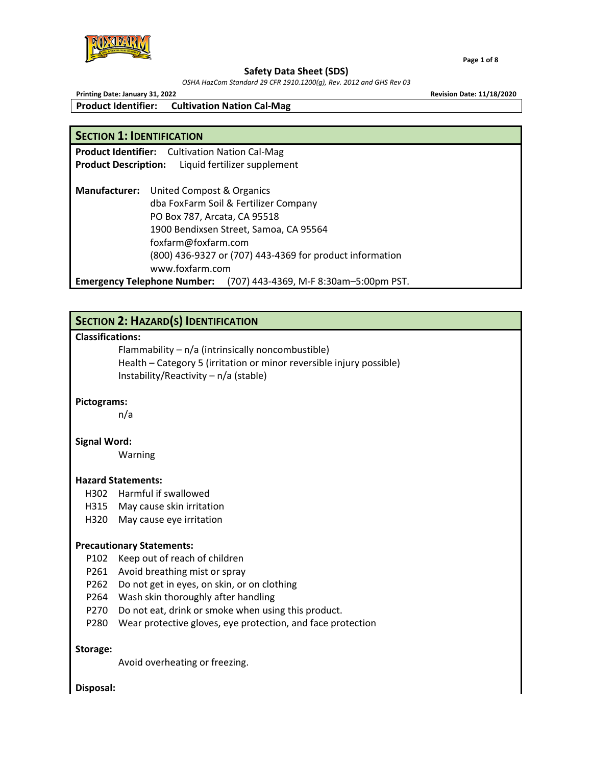

*OSHA HazCom Standard 29 CFR 1910.1200(g), Rev. 2012 and GHS Rev 03*

 **Page 1 of 8**

**Printing Date: January 31, 2022 Revision Date: 11/18/2020**

**Product Identifier: Cultivation Nation Cal‐Mag**

**Product Identifier:** Cultivation Nation Cal‐Mag

# **SECTION 1: IDENTIFICATION**

**Product Description:** Liquid fertilizer supplement **Manufacturer:** United Compost & Organics dba FoxFarm Soil & Fertilizer Company PO Box 787, Arcata, CA 95518 1900 Bendixsen Street, Samoa, CA 95564 foxfarm@foxfarm.com (800) 436‐9327 or (707) 443‐4369 for product information www.foxfarm.com

**Emergency Telephone Number:** (707) 443‐4369, M‐F 8:30am–5:00pm PST.

# **SECTION 2: HAZARD(S) IDENTIFICATION**

# **Classifications:**

Flammability –  $n/a$  (intrinsically noncombustible) Health – Category 5 (irritation or minor reversible injury possible) Instability/Reactivity – n/a (stable)

# **Pictograms:**

n/a

# **Signal Word:**

Warning

## **Hazard Statements:**

- H302 Harmful if swallowed
- H315 May cause skin irritation
- H320 May cause eye irritation

## **Precautionary Statements:**

- P102 Keep out of reach of children
- P261 Avoid breathing mist or spray
- P262 Do not get in eyes, on skin, or on clothing
- P264 Wash skin thoroughly after handling
- P270 Do not eat, drink or smoke when using this product.
- P280 Wear protective gloves, eye protection, and face protection

## **Storage:**

Avoid overheating or freezing.

# **Disposal:**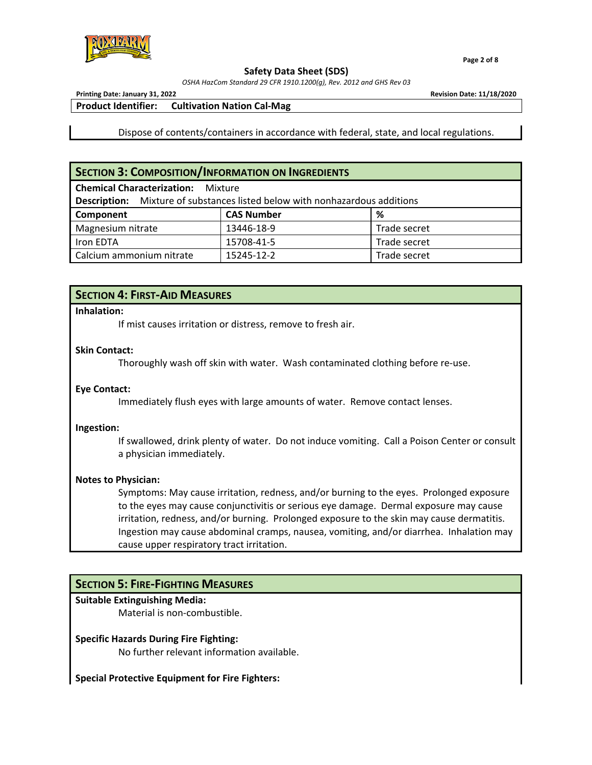

*OSHA HazCom Standard 29 CFR 1910.1200(g), Rev. 2012 and GHS Rev 03*

 **Page 2 of 8**

**Printing Date: January 31, 2022 Revision Date: 11/18/2020**

**Product Identifier: Cultivation Nation Cal‐Mag**

Dispose of contents/containers in accordance with federal, state, and local regulations.

# **SECTION 3: COMPOSITION/INFORMATION ON INGREDIENTS**

| <b>Chemical Characterization:</b> Mixture                                          |                   |              |  |  |  |
|------------------------------------------------------------------------------------|-------------------|--------------|--|--|--|
| <b>Description:</b> Mixture of substances listed below with nonhazardous additions |                   |              |  |  |  |
| Component                                                                          | <b>CAS Number</b> | %            |  |  |  |
| Magnesium nitrate                                                                  | 13446-18-9        | Trade secret |  |  |  |
| Iron EDTA                                                                          | 15708-41-5        | Trade secret |  |  |  |
| Calcium ammonium nitrate                                                           | 15245-12-2        | Trade secret |  |  |  |

# **SECTION 4: FIRST‐AID MEASURES**

## **Inhalation:**

If mist causes irritation or distress, remove to fresh air.

# **Skin Contact:**

Thoroughly wash off skin with water. Wash contaminated clothing before re‐use.

# **Eye Contact:**

Immediately flush eyes with large amounts of water. Remove contact lenses.

## **Ingestion:**

If swallowed, drink plenty of water. Do not induce vomiting. Call a Poison Center or consult a physician immediately.

# **Notes to Physician:**

Symptoms: May cause irritation, redness, and/or burning to the eyes. Prolonged exposure to the eyes may cause conjunctivitis or serious eye damage. Dermal exposure may cause irritation, redness, and/or burning. Prolonged exposure to the skin may cause dermatitis. Ingestion may cause abdominal cramps, nausea, vomiting, and/or diarrhea. Inhalation may cause upper respiratory tract irritation.

# **SECTION 5: FIRE‐FIGHTING MEASURES**

# **Suitable Extinguishing Media:**

Material is non‐combustible.

# **Specific Hazards During Fire Fighting:**

No further relevant information available.

## **Special Protective Equipment for Fire Fighters:**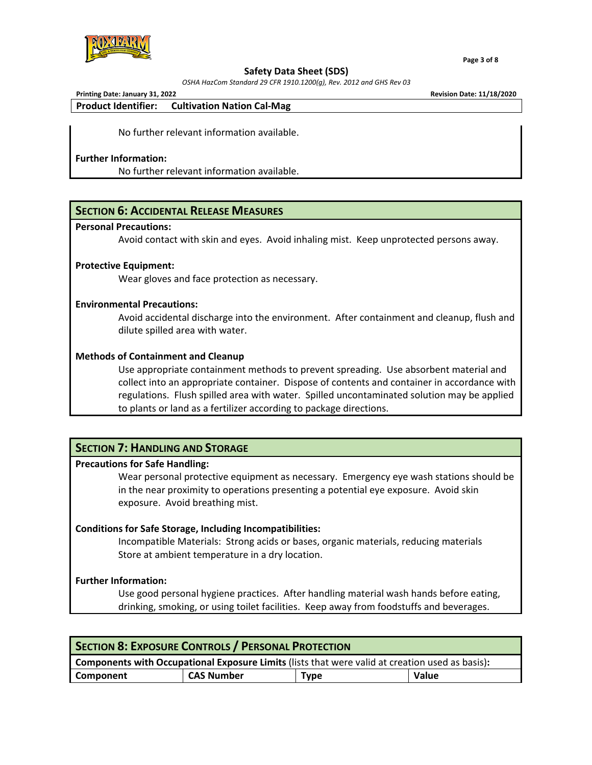

 **Page 3 of 8**

#### **Safety Data Sheet (SDS)**

*OSHA HazCom Standard 29 CFR 1910.1200(g), Rev. 2012 and GHS Rev 03*

**Printing Date: January 31, 2022 Revision Date: 11/18/2020**

**Product Identifier: Cultivation Nation Cal‐Mag**

No further relevant information available.

## **Further Information:**

No further relevant information available.

# **SECTION 6: ACCIDENTAL RELEASE MEASURES**

#### **Personal Precautions:**

Avoid contact with skin and eyes. Avoid inhaling mist. Keep unprotected persons away.

## **Protective Equipment:**

Wear gloves and face protection as necessary.

## **Environmental Precautions:**

Avoid accidental discharge into the environment. After containment and cleanup, flush and dilute spilled area with water.

## **Methods of Containment and Cleanup**

Use appropriate containment methods to prevent spreading. Use absorbent material and collect into an appropriate container. Dispose of contents and container in accordance with regulations. Flush spilled area with water. Spilled uncontaminated solution may be applied to plants or land as a fertilizer according to package directions.

# **SECTION 7: HANDLING AND STORAGE**

## **Precautions for Safe Handling:**

Wear personal protective equipment as necessary. Emergency eye wash stations should be in the near proximity to operations presenting a potential eye exposure. Avoid skin exposure. Avoid breathing mist.

## **Conditions for Safe Storage, Including Incompatibilities:**

Incompatible Materials: Strong acids or bases, organic materials, reducing materials Store at ambient temperature in a dry location.

# **Further Information:**

Use good personal hygiene practices. After handling material wash hands before eating, drinking, smoking, or using toilet facilities. Keep away from foodstuffs and beverages.

| <b>SECTION 8: EXPOSURE CONTROLS / PERSONAL PROTECTION</b>                                              |                   |             |       |  |
|--------------------------------------------------------------------------------------------------------|-------------------|-------------|-------|--|
| <b>Components with Occupational Exposure Limits</b> (lists that were valid at creation used as basis): |                   |             |       |  |
| Component                                                                                              | <b>CAS Number</b> | <b>Type</b> | Value |  |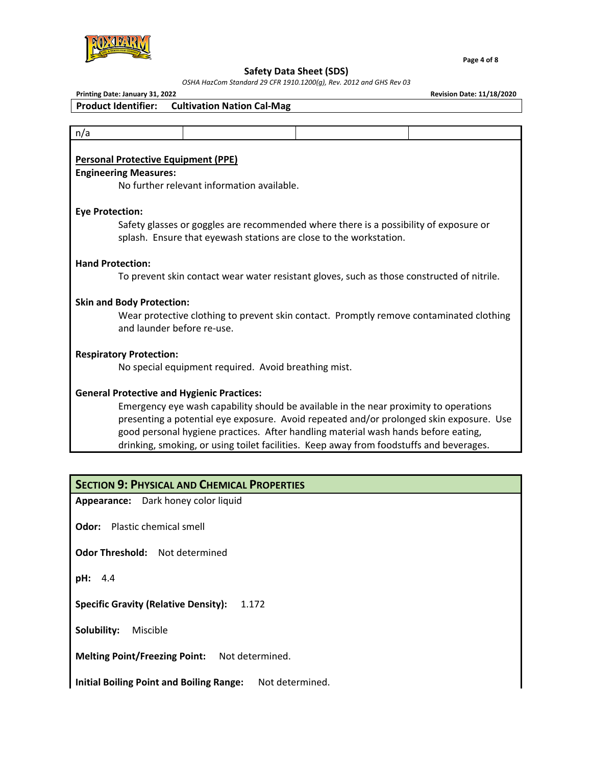

 **Page 4 of 8**

# **Safety Data Sheet (SDS)**

*OSHA HazCom Standard 29 CFR 1910.1200(g), Rev. 2012 and GHS Rev 03*

**Printing Date: January 31, 2022 Revision Date: 11/18/2020**

| n/a |                                                                                                                                                             |  |  |
|-----|-------------------------------------------------------------------------------------------------------------------------------------------------------------|--|--|
|     | <b>Personal Protective Equipment (PPE)</b>                                                                                                                  |  |  |
|     | <b>Engineering Measures:</b>                                                                                                                                |  |  |
|     | No further relevant information available.                                                                                                                  |  |  |
|     | <b>Eye Protection:</b>                                                                                                                                      |  |  |
|     | Safety glasses or goggles are recommended where there is a possibility of exposure or<br>splash. Ensure that eyewash stations are close to the workstation. |  |  |
|     | <b>Hand Protection:</b>                                                                                                                                     |  |  |
|     | To prevent skin contact wear water resistant gloves, such as those constructed of nitrile.                                                                  |  |  |
|     | <b>Skin and Body Protection:</b>                                                                                                                            |  |  |
|     | Wear protective clothing to prevent skin contact. Promptly remove contaminated clothing<br>and launder before re-use.                                       |  |  |
|     | <b>Respiratory Protection:</b>                                                                                                                              |  |  |
|     | No special equipment required. Avoid breathing mist.                                                                                                        |  |  |
|     | <b>General Protective and Hygienic Practices:</b>                                                                                                           |  |  |
|     | Emergency eye wash capability should be available in the near proximity to operations                                                                       |  |  |
|     | presenting a potential eye exposure. Avoid repeated and/or prolonged skin exposure. Use                                                                     |  |  |
|     | good personal hygiene practices. After handling material wash hands before eating,                                                                          |  |  |
|     | drinking, smoking, or using toilet facilities. Keep away from foodstuffs and beverages.                                                                     |  |  |
|     |                                                                                                                                                             |  |  |
|     | <b>SECTION 9: PHYSICAL AND CHEMICAL PROPERTIES</b>                                                                                                          |  |  |

**Odor:** Plastic chemical smell

**Odor Threshold:** Not determined

**pH:** 4.4

**Specific Gravity (Relative Density):** 1.172

**Solubility:** Miscible

**Melting Point/Freezing Point:** Not determined.

**Initial Boiling Point and Boiling Range:** Not determined.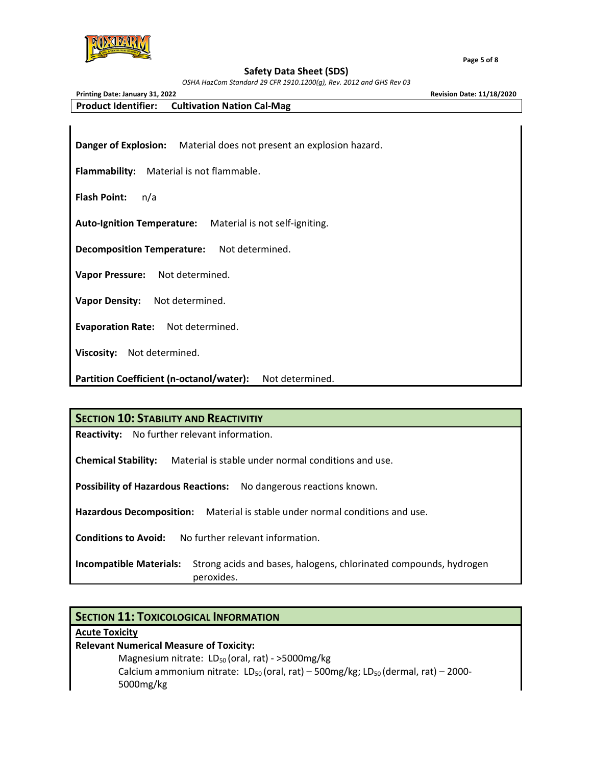

 **Page 5 of 8**

#### **Safety Data Sheet (SDS)**

*OSHA HazCom Standard 29 CFR 1910.1200(g), Rev. 2012 and GHS Rev 03*

**Printing Date: January 31, 2022 Revision Date: 11/18/2020 Product Identifier: Cultivation Nation Cal‐Mag**

**Danger of Explosion:** Material does not present an explosion hazard.

**Flammability:** Material is not flammable.

**Flash Point:** n/a

**Auto‐Ignition Temperature:** Material is not self‐igniting.

**Decomposition Temperature:** Not determined.

**Vapor Pressure:** Not determined.

**Vapor Density:** Not determined.

**Evaporation Rate:** Not determined.

**Viscosity:** Not determined.

**Partition Coefficient (n‐octanol/water):** Not determined.

**SECTION 10: STABILITY AND REACTIVITIY**

**Reactivity:** No further relevant information.

**Chemical Stability:** Material is stable under normal conditions and use.

**Possibility of Hazardous Reactions:** No dangerous reactions known.

**Hazardous Decomposition:** Material is stable under normal conditions and use.

**Conditions to Avoid:** No further relevant information.

**Incompatible Materials:** Strong acids and bases, halogens, chlorinated compounds, hydrogen peroxides.

# **SECTION 11: TOXICOLOGICAL INFORMATION**

## **Acute Toxicity**

**Relevant Numerical Measure of Toxicity:**

Magnesium nitrate:  $LD_{50}$  (oral, rat) - >5000mg/kg Calcium ammonium nitrate:  $LD_{50}$  (oral, rat) – 500mg/kg;  $LD_{50}$  (dermal, rat) – 2000-5000mg/kg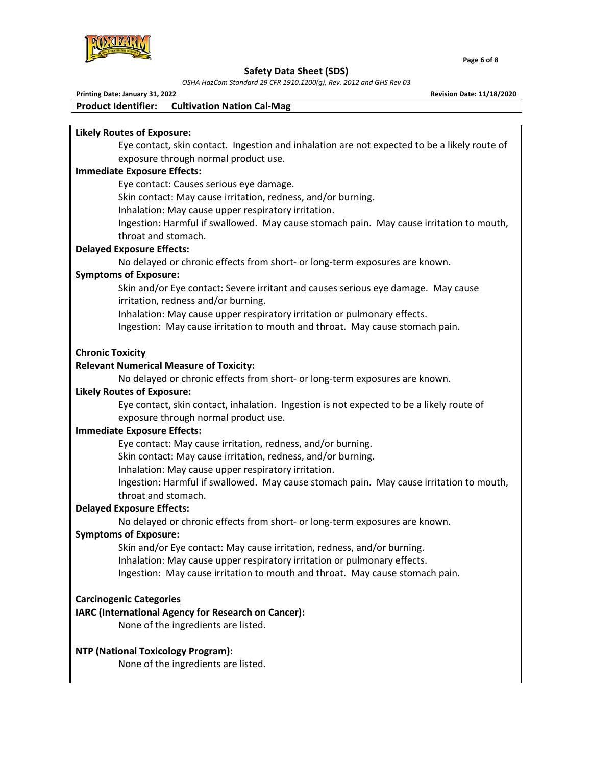

*OSHA HazCom Standard 29 CFR 1910.1200(g), Rev. 2012 and GHS Rev 03*

| Printing Date: January 31, 2022<br><b>Revision Date: 11/18/2020</b> |                                                                                                                                                     |  |  |
|---------------------------------------------------------------------|-----------------------------------------------------------------------------------------------------------------------------------------------------|--|--|
| <b>Product Identifier:</b>                                          | <b>Cultivation Nation Cal-Mag</b>                                                                                                                   |  |  |
|                                                                     |                                                                                                                                                     |  |  |
| <b>Likely Routes of Exposure:</b>                                   |                                                                                                                                                     |  |  |
|                                                                     | Eye contact, skin contact. Ingestion and inhalation are not expected to be a likely route of                                                        |  |  |
|                                                                     | exposure through normal product use.                                                                                                                |  |  |
| <b>Immediate Exposure Effects:</b>                                  |                                                                                                                                                     |  |  |
|                                                                     | Eye contact: Causes serious eye damage.                                                                                                             |  |  |
|                                                                     | Skin contact: May cause irritation, redness, and/or burning.                                                                                        |  |  |
|                                                                     | Inhalation: May cause upper respiratory irritation.                                                                                                 |  |  |
|                                                                     | Ingestion: Harmful if swallowed. May cause stomach pain. May cause irritation to mouth,                                                             |  |  |
| throat and stomach.                                                 |                                                                                                                                                     |  |  |
| <b>Delayed Exposure Effects:</b>                                    |                                                                                                                                                     |  |  |
|                                                                     | No delayed or chronic effects from short- or long-term exposures are known.                                                                         |  |  |
| <b>Symptoms of Exposure:</b>                                        |                                                                                                                                                     |  |  |
|                                                                     | Skin and/or Eye contact: Severe irritant and causes serious eye damage. May cause                                                                   |  |  |
|                                                                     | irritation, redness and/or burning.                                                                                                                 |  |  |
|                                                                     | Inhalation: May cause upper respiratory irritation or pulmonary effects.                                                                            |  |  |
|                                                                     | Ingestion: May cause irritation to mouth and throat. May cause stomach pain.                                                                        |  |  |
|                                                                     |                                                                                                                                                     |  |  |
| <b>Chronic Toxicity</b>                                             |                                                                                                                                                     |  |  |
| <b>Relevant Numerical Measure of Toxicity:</b>                      |                                                                                                                                                     |  |  |
|                                                                     | No delayed or chronic effects from short- or long-term exposures are known.                                                                         |  |  |
| <b>Likely Routes of Exposure:</b>                                   |                                                                                                                                                     |  |  |
|                                                                     | Eye contact, skin contact, inhalation. Ingestion is not expected to be a likely route of                                                            |  |  |
|                                                                     | exposure through normal product use.                                                                                                                |  |  |
| <b>Immediate Exposure Effects:</b>                                  |                                                                                                                                                     |  |  |
|                                                                     | Eye contact: May cause irritation, redness, and/or burning.                                                                                         |  |  |
|                                                                     | Skin contact: May cause irritation, redness, and/or burning.                                                                                        |  |  |
|                                                                     | Inhalation: May cause upper respiratory irritation.                                                                                                 |  |  |
|                                                                     | Ingestion: Harmful if swallowed. May cause stomach pain. May cause irritation to mouth,                                                             |  |  |
| throat and stomach.                                                 |                                                                                                                                                     |  |  |
| <b>Delayed Exposure Effects:</b>                                    |                                                                                                                                                     |  |  |
|                                                                     | No delayed or chronic effects from short- or long-term exposures are known.                                                                         |  |  |
| <b>Symptoms of Exposure:</b>                                        |                                                                                                                                                     |  |  |
|                                                                     | Skin and/or Eye contact: May cause irritation, redness, and/or burning.<br>Inhalation: May cause upper respiratory irritation or pulmonary effects. |  |  |
|                                                                     |                                                                                                                                                     |  |  |
|                                                                     | Ingestion: May cause irritation to mouth and throat. May cause stomach pain.                                                                        |  |  |
|                                                                     |                                                                                                                                                     |  |  |
| <b>Carcinogenic Categories</b>                                      | IARC (International Agency for Research on Cancer):                                                                                                 |  |  |
|                                                                     | None of the ingredients are listed.                                                                                                                 |  |  |
|                                                                     |                                                                                                                                                     |  |  |
| <b>NTP (National Toxicology Program):</b>                           |                                                                                                                                                     |  |  |
|                                                                     | None of the ingredients are listed.                                                                                                                 |  |  |
|                                                                     |                                                                                                                                                     |  |  |
|                                                                     |                                                                                                                                                     |  |  |
|                                                                     |                                                                                                                                                     |  |  |
|                                                                     |                                                                                                                                                     |  |  |

 **Page 6 of 8**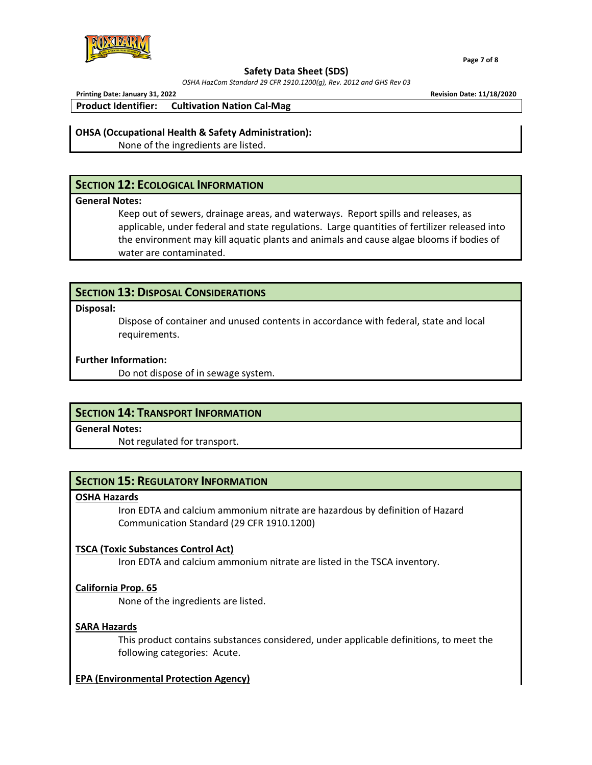

*OSHA HazCom Standard 29 CFR 1910.1200(g), Rev. 2012 and GHS Rev 03*

 **Page 7 of 8**

**Printing Date: January 31, 2022 Revision Date: 11/18/2020**

**Product Identifier: Cultivation Nation Cal‐Mag**

## **OHSA (Occupational Health & Safety Administration):**

None of the ingredients are listed.

# **SECTION 12: ECOLOGICAL INFORMATION**

## **General Notes:**

Keep out of sewers, drainage areas, and waterways. Report spills and releases, as applicable, under federal and state regulations. Large quantities of fertilizer released into the environment may kill aquatic plants and animals and cause algae blooms if bodies of water are contaminated.

# **SECTION 13: DISPOSAL CONSIDERATIONS**

## **Disposal:**

Dispose of container and unused contents in accordance with federal, state and local requirements.

# **Further Information:**

Do not dispose of in sewage system.

# **SECTION 14: TRANSPORT INFORMATION**

**General Notes:**

Not regulated for transport.

# **SECTION 15: REGULATORY INFORMATION**

## **OSHA Hazards**

Iron EDTA and calcium ammonium nitrate are hazardous by definition of Hazard Communication Standard (29 CFR 1910.1200)

# **TSCA (Toxic Substances Control Act)**

Iron EDTA and calcium ammonium nitrate are listed in the TSCA inventory.

# **California Prop. 65**

None of the ingredients are listed.

# **SARA Hazards**

This product contains substances considered, under applicable definitions, to meet the following categories: Acute.

# **EPA (Environmental Protection Agency)**